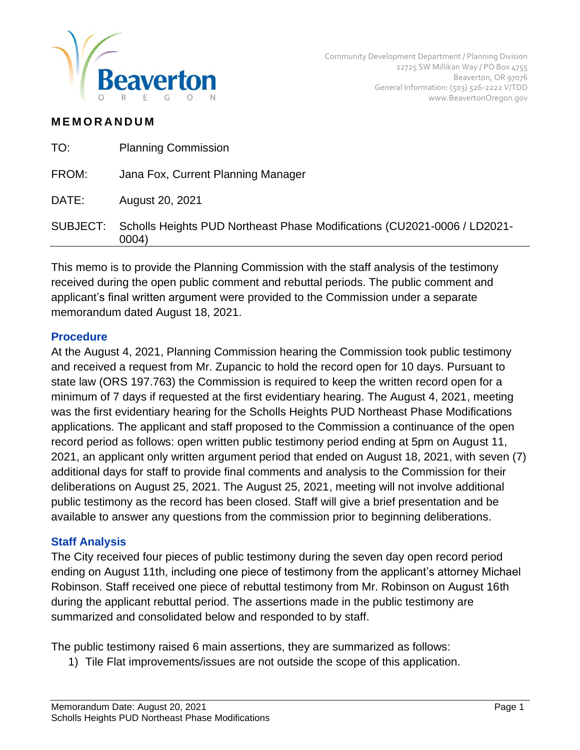

## **M E M O R A N D U M**

| TO:      | <b>Planning Commission</b>                                                        |
|----------|-----------------------------------------------------------------------------------|
| FROM:    | Jana Fox, Current Planning Manager                                                |
| DATE:    | August 20, 2021                                                                   |
| SUBJECT: | Scholls Heights PUD Northeast Phase Modifications (CU2021-0006 / LD2021-<br>0004) |
|          |                                                                                   |

This memo is to provide the Planning Commission with the staff analysis of the testimony received during the open public comment and rebuttal periods. The public comment and applicant's final written argument were provided to the Commission under a separate memorandum dated August 18, 2021.

## **Procedure**

At the August 4, 2021, Planning Commission hearing the Commission took public testimony and received a request from Mr. Zupancic to hold the record open for 10 days. Pursuant to state law (ORS 197.763) the Commission is required to keep the written record open for a minimum of 7 days if requested at the first evidentiary hearing. The August 4, 2021, meeting was the first evidentiary hearing for the Scholls Heights PUD Northeast Phase Modifications applications. The applicant and staff proposed to the Commission a continuance of the open record period as follows: open written public testimony period ending at 5pm on August 11, 2021, an applicant only written argument period that ended on August 18, 2021, with seven (7) additional days for staff to provide final comments and analysis to the Commission for their deliberations on August 25, 2021. The August 25, 2021, meeting will not involve additional public testimony as the record has been closed. Staff will give a brief presentation and be available to answer any questions from the commission prior to beginning deliberations.

## **Staff Analysis**

The City received four pieces of public testimony during the seven day open record period ending on August 11th, including one piece of testimony from the applicant's attorney Michael Robinson. Staff received one piece of rebuttal testimony from Mr. Robinson on August 16th during the applicant rebuttal period. The assertions made in the public testimony are summarized and consolidated below and responded to by staff.

The public testimony raised 6 main assertions, they are summarized as follows:

1) Tile Flat improvements/issues are not outside the scope of this application.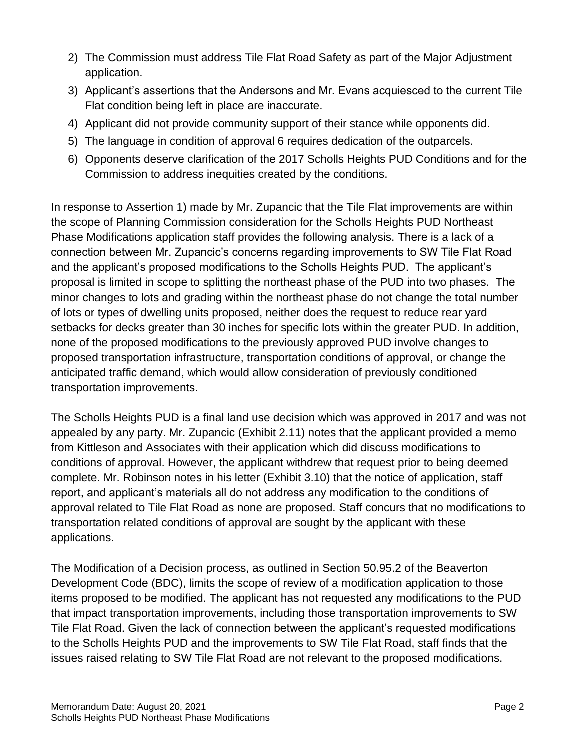- 2) The Commission must address Tile Flat Road Safety as part of the Major Adjustment application.
- 3) Applicant's assertions that the Andersons and Mr. Evans acquiesced to the current Tile Flat condition being left in place are inaccurate.
- 4) Applicant did not provide community support of their stance while opponents did.
- 5) The language in condition of approval 6 requires dedication of the outparcels.
- 6) Opponents deserve clarification of the 2017 Scholls Heights PUD Conditions and for the Commission to address inequities created by the conditions.

In response to Assertion 1) made by Mr. Zupancic that the Tile Flat improvements are within the scope of Planning Commission consideration for the Scholls Heights PUD Northeast Phase Modifications application staff provides the following analysis. There is a lack of a connection between Mr. Zupancic's concerns regarding improvements to SW Tile Flat Road and the applicant's proposed modifications to the Scholls Heights PUD. The applicant's proposal is limited in scope to splitting the northeast phase of the PUD into two phases. The minor changes to lots and grading within the northeast phase do not change the total number of lots or types of dwelling units proposed, neither does the request to reduce rear yard setbacks for decks greater than 30 inches for specific lots within the greater PUD. In addition, none of the proposed modifications to the previously approved PUD involve changes to proposed transportation infrastructure, transportation conditions of approval, or change the anticipated traffic demand, which would allow consideration of previously conditioned transportation improvements.

The Scholls Heights PUD is a final land use decision which was approved in 2017 and was not appealed by any party. Mr. Zupancic (Exhibit 2.11) notes that the applicant provided a memo from Kittleson and Associates with their application which did discuss modifications to conditions of approval. However, the applicant withdrew that request prior to being deemed complete. Mr. Robinson notes in his letter (Exhibit 3.10) that the notice of application, staff report, and applicant's materials all do not address any modification to the conditions of approval related to Tile Flat Road as none are proposed. Staff concurs that no modifications to transportation related conditions of approval are sought by the applicant with these applications.

The Modification of a Decision process, as outlined in Section 50.95.2 of the Beaverton Development Code (BDC), limits the scope of review of a modification application to those items proposed to be modified. The applicant has not requested any modifications to the PUD that impact transportation improvements, including those transportation improvements to SW Tile Flat Road. Given the lack of connection between the applicant's requested modifications to the Scholls Heights PUD and the improvements to SW Tile Flat Road, staff finds that the issues raised relating to SW Tile Flat Road are not relevant to the proposed modifications.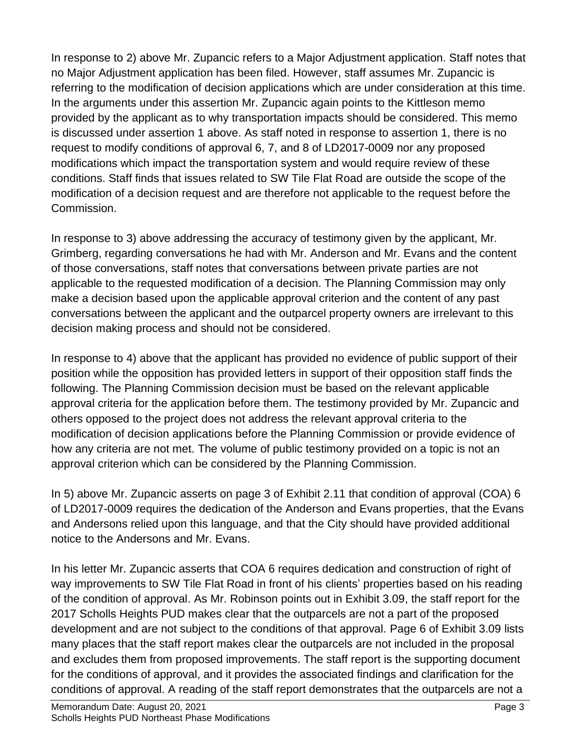In response to 2) above Mr. Zupancic refers to a Major Adjustment application. Staff notes that no Major Adjustment application has been filed. However, staff assumes Mr. Zupancic is referring to the modification of decision applications which are under consideration at this time. In the arguments under this assertion Mr. Zupancic again points to the Kittleson memo provided by the applicant as to why transportation impacts should be considered. This memo is discussed under assertion 1 above. As staff noted in response to assertion 1, there is no request to modify conditions of approval 6, 7, and 8 of LD2017-0009 nor any proposed modifications which impact the transportation system and would require review of these conditions. Staff finds that issues related to SW Tile Flat Road are outside the scope of the modification of a decision request and are therefore not applicable to the request before the Commission.

In response to 3) above addressing the accuracy of testimony given by the applicant, Mr. Grimberg, regarding conversations he had with Mr. Anderson and Mr. Evans and the content of those conversations, staff notes that conversations between private parties are not applicable to the requested modification of a decision. The Planning Commission may only make a decision based upon the applicable approval criterion and the content of any past conversations between the applicant and the outparcel property owners are irrelevant to this decision making process and should not be considered.

In response to 4) above that the applicant has provided no evidence of public support of their position while the opposition has provided letters in support of their opposition staff finds the following. The Planning Commission decision must be based on the relevant applicable approval criteria for the application before them. The testimony provided by Mr. Zupancic and others opposed to the project does not address the relevant approval criteria to the modification of decision applications before the Planning Commission or provide evidence of how any criteria are not met. The volume of public testimony provided on a topic is not an approval criterion which can be considered by the Planning Commission.

In 5) above Mr. Zupancic asserts on page 3 of Exhibit 2.11 that condition of approval (COA) 6 of LD2017-0009 requires the dedication of the Anderson and Evans properties, that the Evans and Andersons relied upon this language, and that the City should have provided additional notice to the Andersons and Mr. Evans.

In his letter Mr. Zupancic asserts that COA 6 requires dedication and construction of right of way improvements to SW Tile Flat Road in front of his clients' properties based on his reading of the condition of approval. As Mr. Robinson points out in Exhibit 3.09, the staff report for the 2017 Scholls Heights PUD makes clear that the outparcels are not a part of the proposed development and are not subject to the conditions of that approval. Page 6 of Exhibit 3.09 lists many places that the staff report makes clear the outparcels are not included in the proposal and excludes them from proposed improvements. The staff report is the supporting document for the conditions of approval, and it provides the associated findings and clarification for the conditions of approval. A reading of the staff report demonstrates that the outparcels are not a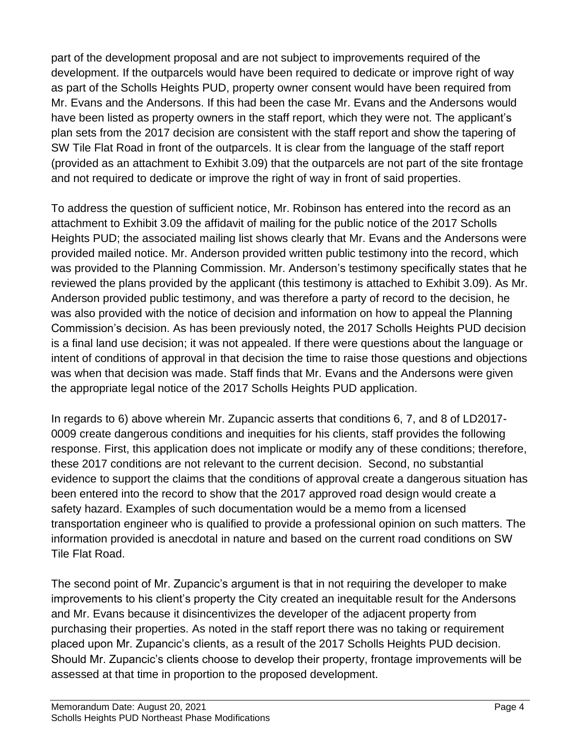part of the development proposal and are not subject to improvements required of the development. If the outparcels would have been required to dedicate or improve right of way as part of the Scholls Heights PUD, property owner consent would have been required from Mr. Evans and the Andersons. If this had been the case Mr. Evans and the Andersons would have been listed as property owners in the staff report, which they were not. The applicant's plan sets from the 2017 decision are consistent with the staff report and show the tapering of SW Tile Flat Road in front of the outparcels. It is clear from the language of the staff report (provided as an attachment to Exhibit 3.09) that the outparcels are not part of the site frontage and not required to dedicate or improve the right of way in front of said properties.

To address the question of sufficient notice, Mr. Robinson has entered into the record as an attachment to Exhibit 3.09 the affidavit of mailing for the public notice of the 2017 Scholls Heights PUD; the associated mailing list shows clearly that Mr. Evans and the Andersons were provided mailed notice. Mr. Anderson provided written public testimony into the record, which was provided to the Planning Commission. Mr. Anderson's testimony specifically states that he reviewed the plans provided by the applicant (this testimony is attached to Exhibit 3.09). As Mr. Anderson provided public testimony, and was therefore a party of record to the decision, he was also provided with the notice of decision and information on how to appeal the Planning Commission's decision. As has been previously noted, the 2017 Scholls Heights PUD decision is a final land use decision; it was not appealed. If there were questions about the language or intent of conditions of approval in that decision the time to raise those questions and objections was when that decision was made. Staff finds that Mr. Evans and the Andersons were given the appropriate legal notice of the 2017 Scholls Heights PUD application.

In regards to 6) above wherein Mr. Zupancic asserts that conditions 6, 7, and 8 of LD2017- 0009 create dangerous conditions and inequities for his clients, staff provides the following response. First, this application does not implicate or modify any of these conditions; therefore, these 2017 conditions are not relevant to the current decision. Second, no substantial evidence to support the claims that the conditions of approval create a dangerous situation has been entered into the record to show that the 2017 approved road design would create a safety hazard. Examples of such documentation would be a memo from a licensed transportation engineer who is qualified to provide a professional opinion on such matters. The information provided is anecdotal in nature and based on the current road conditions on SW Tile Flat Road.

The second point of Mr. Zupancic's argument is that in not requiring the developer to make improvements to his client's property the City created an inequitable result for the Andersons and Mr. Evans because it disincentivizes the developer of the adjacent property from purchasing their properties. As noted in the staff report there was no taking or requirement placed upon Mr. Zupancic's clients, as a result of the 2017 Scholls Heights PUD decision. Should Mr. Zupancic's clients choose to develop their property, frontage improvements will be assessed at that time in proportion to the proposed development.